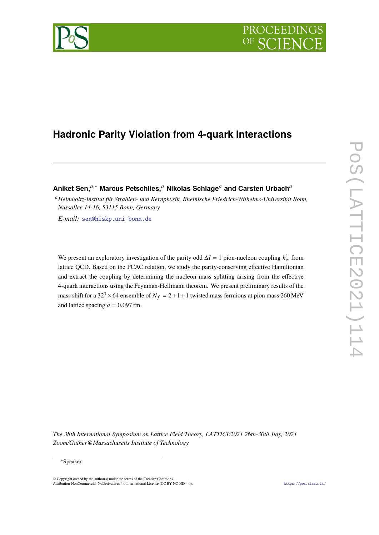

# **Hadronic Parity Violation from 4-quark Interactions**

Aniket Sen,<sup>*a*,∗</sup> Marcus Petschlies,<sup>*a*</sup> Nikolas Schlage<sup>*a*</sup> and Carsten Urbach<sup>*a*</sup>

<sup>𝑎</sup>*Helmholtz-Institut für Strahlen- und Kernphysik, Rheinische Friedrich-Wilhelms-Universität Bonn, Nussallee 14-16, 53115 Bonn, Germany*

*E-mail:* [sen@hiskp.uni-bonn.de](mailto:sen@hiskp.uni-bonn.de)

We present an exploratory investigation of the parity odd  $\Delta I = 1$  pion-nucleon coupling  $h_{\pi}^1$  from lattice QCD. Based on the PCAC relation, we study the parity-conserving effective Hamiltonian and extract the coupling by determining the nucleon mass splitting arising from the effective 4-quark interactions using the Feynman-Hellmann theorem. We present preliminary results of the mass shift for a 32<sup>3</sup> × 64 ensemble of  $N_f = 2 + 1 + 1$  twisted mass fermions at pion mass 260 MeV and lattice spacing  $a = 0.097$  fm.

*The 38th International Symposium on Lattice Field Theory, LATTICE2021 26th-30th July, 2021 Zoom/Gather@Massachusetts Institute of Technology*

<sup>∗</sup>Speaker

<sup>©</sup> Copyright owned by the author(s) under the terms of the Creative Commons Attribution-NonCommercial-NoDerivatives 4.0 International License (CC BY-NC-ND 4.0). <https://pos.sissa.it/>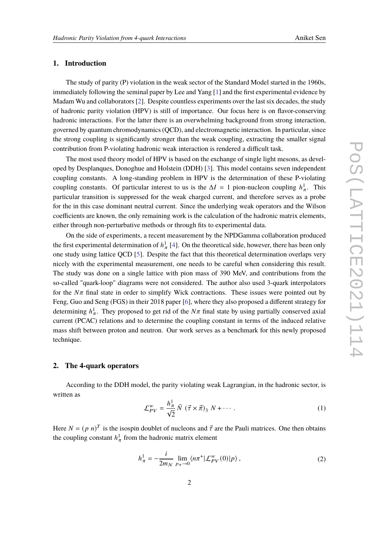### **1. Introduction**

The study of parity (P) violation in the weak sector of the Standard Model started in the 1960s, immediately following the seminal paper by Lee and Yang [\[1\]](#page-7-0) and the first experimental evidence by Madam Wu and collaborators [\[2\]](#page-7-1). Despite countless experiments over the last six decades, the study of hadronic parity violation (HPV) is still of importance. Our focus here is on flavor-conserving hadronic interactions. For the latter there is an overwhelming background from strong interaction, governed by quantum chromodynamics (QCD), and electromagnetic interaction. In particular, since the strong coupling is significantly stronger than the weak coupling, extracting the smaller signal contribution from P-violating hadronic weak interaction is rendered a difficult task.

The most used theory model of HPV is based on the exchange of single light mesons, as developed by Desplanques, Donoghue and Holstein (DDH) [\[3\]](#page-7-2). This model contains seven independent coupling constants. A long-standing problem in HPV is the determination of these P-violating coupling constants. Of particular interest to us is the  $\Delta I = 1$  pion-nucleon coupling  $h_{\pi}^1$ . This particular transition is suppressed for the weak charged current, and therefore serves as a probe for the in this case dominant neutral current. Since the underlying weak operators and the Wilson coefficients are known, the only remaining work is the calculation of the hadronic matrix elements, either through non-perturbative methods or through fits to experimental data.

On the side of experiments, a recent measurement by the NPDGamma collaboration produced the first experimental determination of  $h^1_\pi$  [\[4\]](#page-7-3). On the theoretical side, however, there has been only one study using lattice QCD [\[5\]](#page-7-4). Despite the fact that this theoretical determination overlaps very nicely with the experimental measurement, one needs to be careful when considering this result. The study was done on a single lattice with pion mass of 390 MeV, and contributions from the so-called "quark-loop" diagrams were not considered. The author also used 3-quark interpolators for the  $N\pi$  final state in order to simplify Wick contractions. These issues were pointed out by Feng, Guo and Seng (FGS) in their 2018 paper [\[6\]](#page-7-5), where they also proposed a different strategy for determining  $h^1_{\pi}$ . They proposed to get rid of the  $N\pi$  final state by using partially conserved axial current (PCAC) relations and to determine the coupling constant in terms of the induced relative mass shift between proton and neutron. Our work serves as a benchmark for this newly proposed technique.

# **2. The 4-quark operators**

According to the DDH model, the parity violating weak Lagrangian, in the hadronic sector, is written as

$$
\mathcal{L}_{PV}^{w} = \frac{h_{\pi}^{1}}{\sqrt{2}} \bar{N} \left( \vec{\tau} \times \vec{\pi} \right)_{3} N + \cdots \,. \tag{1}
$$

Here  $N = (p \; n)^T$  is the isospin doublet of nucleons and  $\vec{\tau}$  are the Pauli matrices. One then obtains the coupling constant  $h_{\pi}^1$  from the hadronic matrix element

$$
h_{\pi}^{1} = -\frac{i}{2m_{N}} \lim_{p_{\pi}\to 0} \langle n\pi^{+} | \mathcal{L}_{PV}^{w}(0) | p \rangle, \qquad (2)
$$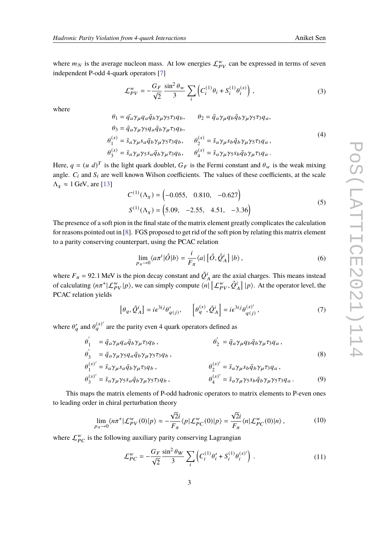where  $m_N$  is the average nucleon mass. At low energies  $\mathcal{L}_{PV}^w$  can be expressed in terms of seven independent P-odd 4-quark operators [\[7\]](#page-7-6)

$$
\mathcal{L}_{PV}^{w} = -\frac{G_F}{\sqrt{2}} \frac{\sin^2 \theta_w}{3} \sum_{i} \left( C_i^{(1)} \theta_i + S_i^{(1)} \theta_i^{(s)} \right), \tag{3}
$$

where

$$
\theta_1 = \bar{q}_a \gamma_\mu q_a \bar{q}_b \gamma_\mu \gamma_5 \tau_3 q_b, \qquad \theta_2 = \bar{q}_a \gamma_\mu q_b \bar{q}_b \gamma_\mu \gamma_5 \tau_3 q_a, \n\theta_3 = \bar{q}_a \gamma_\mu \gamma_5 q_a \bar{q}_b \gamma_\mu \tau_3 q_b, \n\theta_1^{(s)} = \bar{s}_a \gamma_\mu s_a \bar{q}_b \gamma_\mu \gamma_5 \tau_3 q_b, \qquad \theta_2^{(s)} = \bar{s}_a \gamma_\mu s_b \bar{q}_b \gamma_\mu \gamma_5 \tau_3 q_a, \n\theta_3^{(s)} = \bar{s}_a \gamma_\mu \gamma_5 s_a \bar{q}_b \gamma_\mu \tau_3 q_b, \qquad \theta_4^{(s)} = \bar{s}_a \gamma_\mu \gamma_5 s_b \bar{q}_b \gamma_\mu \tau_3 q_a.
$$
\n(4)

Here,  $q = (u \, d)^T$  is the light quark doublet,  $G_F$  is the Fermi constant and  $\theta_w$  is the weak mixing angle.  $C_i$  and  $S_i$  are well known Wilson coefficients. The values of these coefficients, at the scale  $\Lambda_{\chi} \approx 1$  GeV, are [\[13\]](#page-7-7)

$$
C^{(1)}(\Lambda_{\chi}) = \begin{pmatrix} -0.055, & 0.810, & -0.627 \end{pmatrix}
$$
  
\n
$$
S^{(1)}(\Lambda_{\chi}) = \begin{pmatrix} 5.09, & -2.55, & 4.51, & -3.36 \end{pmatrix}
$$
 (5)

The presence of a soft pion in the final state of the matrix element greatly complicates the calculation for reasons pointed out in [\[8\]](#page-7-8). FGS proposed to get rid of the soft pion by relating this matrix element to a parity conserving counterpart, using the PCAC relation

$$
\lim_{p_{\pi}\to 0} \langle a\pi^{i}|\hat{O}|b\rangle = \frac{i}{F_{\pi}} \langle a|\left[\hat{O},\hat{Q}_{A}^{i}\right]|b\rangle, \qquad (6)
$$

where  $F_{\pi}$  = 92.1 MeV is the pion decay constant and  $\hat{Q}_{A}^{i}$  are the axial charges. This means instead of calculating  $\langle n\pi^+ | \mathcal{L}_{PV}^w | p \rangle$ , we can simply compute  $\langle n | \left[ \mathcal{L}_{PV}^w, \hat{Q}_A^i \right] | p \rangle$ . At the operator level, the PCAC relation yields

<span id="page-2-0"></span>
$$
\left[\theta_q, \hat{Q}_A^i\right] = i\epsilon^{3ij}\theta'_{q(j)}, \qquad \left[\theta_q^{(s)}, \hat{Q}_A^i\right] = i\epsilon^{3ij}\theta_{q(j)}^{(s)'},\tag{7}
$$

where  $\theta'_a$  and  $\theta^{(s)'}_q$  are the parity even 4 quark operators defined as

$$
\theta'_{1} = \bar{q}_{a} \gamma_{\mu} q_{a} \bar{q}_{b} \gamma_{\mu} \tau_{3} q_{b}, \n\theta'_{3} = \bar{q}_{a} \gamma_{\mu} \gamma_{5} q_{a} \bar{q}_{b} \gamma_{\mu} \gamma_{5} \tau_{3} q_{b}, \n\theta'_{1} = \bar{s}_{a} \gamma_{\mu} s_{a} \bar{q}_{b} \gamma_{\mu} \tau_{3} q_{b}, \n\theta'_{2} = \bar{q}_{a} \gamma_{\mu} q_{b} \bar{q}_{b} \gamma_{\mu} \tau_{3} q_{a}, \n\theta'_{2} = \bar{s}_{a} \gamma_{\mu} s_{b} \bar{q}_{b} \gamma_{\mu} \tau_{3} q_{a},
$$
\n(8)

$$
\theta_3^{(s)'} = \bar{s}_a \gamma_\mu \gamma_5 s_a \bar{q}_b \gamma_\mu \gamma_5 \tau_3 q_b , \qquad \theta_4^{(s)'} = \bar{s}_a \gamma_\mu \gamma_5 s_b \bar{q}_b \gamma_\mu \gamma_5 \tau_3 q_a . \tag{9}
$$

This maps the matrix elements of P-odd hadronic operators to matrix elements to P-even ones to leading order in chiral perturbation theory

$$
\lim_{p_{\pi}\to 0} \langle n\pi^+ | \mathcal{L}_{PV}^w(0) | p \rangle \approx -\frac{\sqrt{2}i}{F_{\pi}} \langle p | \mathcal{L}_{PC}^w(0) | p \rangle = \frac{\sqrt{2}i}{F_{\pi}} \langle n | \mathcal{L}_{PC}^w(0) | n \rangle, \tag{10}
$$

where  $\mathcal{L}_{PC}^w$  is the following auxiliary parity conserving Lagrangian

$$
\mathcal{L}_{PC}^{w} = -\frac{G_F}{\sqrt{2}} \frac{\sin^2 \theta_W}{3} \sum_{i} \left( C_i^{(1)} \theta_i' + S_i^{(1)} \theta_i^{(s)}' \right) . \tag{11}
$$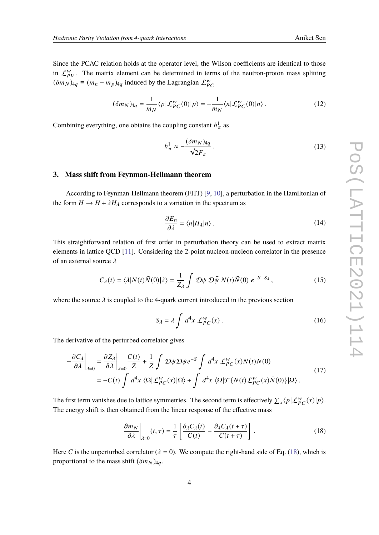Since the PCAC relation holds at the operator level, the Wilson coefficients are identical to those in  $\mathcal{L}_{PV}^W$ . The matrix element can be determined in terms of the neutron-proton mass splitting  $(\delta m_N)_{4q} \equiv (m_n - m_p)_{4q}$  induced by the Lagrangian  $\mathcal{L}_{PC}^{w}$ 

$$
(\delta m_N)_{4q} = \frac{1}{m_N} \langle p | \mathcal{L}_{PC}^w(0) | p \rangle = -\frac{1}{m_N} \langle n | \mathcal{L}_{PC}^w(0) | n \rangle. \tag{12}
$$

Combining everything, one obtains the coupling constant  $h^1_\pi$  as

$$
h_{\pi}^{1} \approx -\frac{(\delta m_{N})_{4q}}{\sqrt{2}F_{\pi}}.
$$
\n(13)

#### **3. Mass shift from Feynman-Hellmann theorem**

According to Feynman-Hellmann theorem (FHT) [\[9,](#page-7-9) [10\]](#page-7-10), a perturbation in the Hamiltonian of the form  $H \to H + \lambda H_{\lambda}$  corresponds to a variation in the spectrum as

$$
\frac{\partial E_n}{\partial \lambda} = \langle n | H_\lambda | n \rangle \,. \tag{14}
$$

This straightforward relation of first order in perturbation theory can be used to extract matrix elements in lattice QCD [\[11\]](#page-7-11). Considering the 2-point nucleon-nucleon correlator in the presence of an external source  $\lambda$ 

$$
C_{\lambda}(t) = \langle \lambda | N(t) \bar{N}(0) | \lambda \rangle = \frac{1}{Z_{\lambda}} \int \mathcal{D}\psi \, \mathcal{D}\bar{\psi} \, N(t) \bar{N}(0) \, e^{-S - S_{\lambda}}, \tag{15}
$$

where the source  $\lambda$  is coupled to the 4-quark current introduced in the previous section

$$
S_{\lambda} = \lambda \int d^4x \, \mathcal{L}_{PC}^w(x) \,. \tag{16}
$$

The derivative of the perturbed correlator gives

$$
-\frac{\partial C_{\lambda}}{\partial \lambda}\bigg|_{\lambda=0} = \frac{\partial Z_{\lambda}}{\partial \lambda}\bigg|_{\lambda=0} \frac{C(t)}{Z} + \frac{1}{Z} \int \mathcal{D}\psi \mathcal{D}\bar{\psi} e^{-S} \int d^{4}x \mathcal{L}_{PC}^{w}(x)N(t)\bar{N}(0)
$$
  

$$
= -C(t) \int d^{4}x \langle \Omega | \mathcal{L}_{PC}^{w}(x) | \Omega \rangle + \int d^{4}x \langle \Omega | \mathcal{T}\{N(t) \mathcal{L}_{PC}^{w}(x)\bar{N}(0)\} | \Omega \rangle .
$$
 (17)

The first term vanishes due to lattice symmetries. The second term is effectively  $\sum_x \langle p | \mathcal{L}_{PC}^w(x) | p \rangle$ . The energy shift is then obtained from the linear response of the effective mass

<span id="page-3-0"></span>
$$
\frac{\partial m_N}{\partial \lambda} \bigg|_{\lambda=0} (t, \tau) = \frac{1}{\tau} \left[ \frac{\partial_{\lambda} C_{\lambda}(t)}{C(t)} - \frac{\partial_{\lambda} C_{\lambda}(t + \tau)}{C(t + \tau)} \right]. \tag{18}
$$

Here C is the unperturbed correlator ( $\lambda = 0$ ). We compute the right-hand side of Eq. [\(18\)](#page-3-0), which is proportional to the mass shift  $(\delta m_N)_{4q}$ .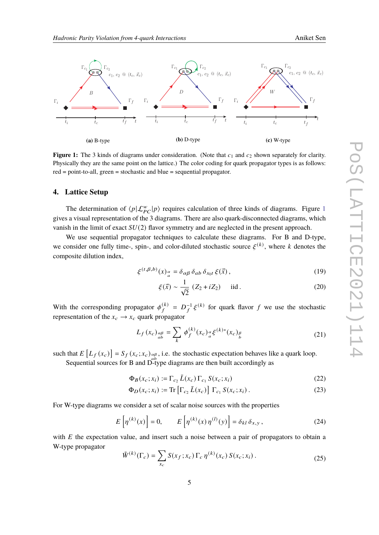<span id="page-4-0"></span>

**Figure 1:** The 3 kinds of diagrams under consideration. (Note that  $c_1$  and  $c_2$  shown separately for clarity. Physically they are the same point on the lattice.) The color coding for quark propagator types is as follows: red = point-to-all, green = stochastic and blue = sequential propagator.

#### **4. Lattice Setup**

The determination of  $\langle p|\mathcal{L}_{PC}^{w}|p\rangle$  requires calculation of three kinds of diagrams. Figure [1](#page-4-0) gives a visual representation of the 3 diagrams. There are also quark-disconnected diagrams, which vanish in the limit of exact  $SU(2)$  flavor symmetry and are neglected in the present approach.

We use sequential propagator techniques to calculate these diagrams. For B and D-type, we consider one fully time-, spin-, and color-diluted stochastic source  $\xi^{(k)}$ , where k denotes the composite dilution index,

$$
\xi^{(t,\beta,b)}(x)_{a}^{\alpha} = \delta_{\alpha\beta} \,\delta_{ab} \,\delta_{x_0t} \,\xi(\vec{x})\,,\tag{19}
$$

$$
\xi(\vec{x}) \sim \frac{1}{\sqrt{2}} (Z_2 + iZ_2) \quad \text{iid} \,. \tag{20}
$$

With the corresponding propagator  $\phi_f^{(k)}$  $\mathcal{L}_f^{(k)} = D_f^{-1} \xi^{(k)}$  for quark flavor f we use the stochastic representation of the  $x_c \rightarrow x_c$  quark propagator

$$
L_f(x_c)_{\substack{a\beta\\ab}} = \sum_k \phi_f^{(k)}(x_c)_{\substack{a\\a}} \xi^{(k)*}(x_c)_{\substack{\beta\\b}} \tag{21}
$$

such that  $E\left[L_f(x_c)\right] = S_f(x_c; x_c)_{ab}$ , i.e. the stochastic expectation behaves like a quark loop. Sequential sources for B and D-type diagrams are then built accordingly as

$$
\Phi_B(x_c; x_i) := \Gamma_{c_2} \bar{L}(x_c) \Gamma_{c_1} S(x_c; x_i)
$$
\n
$$
(22)
$$

$$
\Phi_D(x_c; x_i) := \text{Tr}\left[\Gamma_{c_2} \bar{L}(x_c)\right] \Gamma_{c_1} S(x_c; x_i). \tag{23}
$$

For W-type diagrams we consider a set of scalar noise sources with the properties

$$
E\left[\eta^{(k)}(x)\right] = 0, \qquad E\left[\eta^{(k)}(x)\,\eta^{(l)}(y)\right] = \delta_{kl}\,\delta_{x,y},\tag{24}
$$

with  $E$  the expectation value, and insert such a noise between a pair of propagators to obtain a W-type propagator

$$
\tilde{W}^{(k)}(\Gamma_c) = \sum_{x_c} S(x_f; x_c) \Gamma_c \eta^{(k)}(x_c) S(x_c; x_i).
$$
\n(25)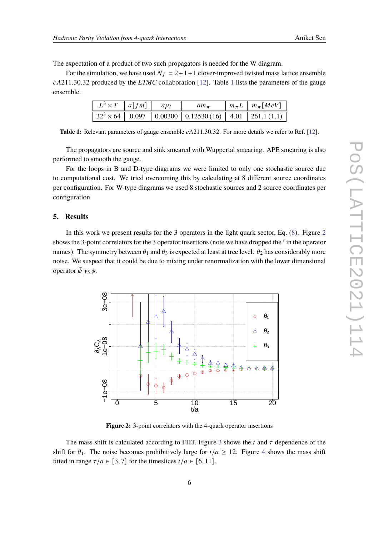The expectation of a product of two such propagators is needed for the W diagram.

<span id="page-5-0"></span>For the simulation, we have used  $N_f = 2 + 1 + 1$  clover-improved twisted mass lattice ensemble  $cA211.30.32$  $cA211.30.32$  $cA211.30.32$  produced by the *ETMC* collaboration [\[12\]](#page-7-12). Table 1 lists the parameters of the gauge ensemble.

| $ L^3 \times T a[fm] a\mu_l$ |  | $am_{\pi}$                                                                                 | $\mid m_{\pi}L \mid m_{\pi} [MeV]$ |
|------------------------------|--|--------------------------------------------------------------------------------------------|------------------------------------|
|                              |  | $\sqrt{32^3 \times 64 \mid 0.097 \mid 0.00300 \mid 0.12530(16) \mid 4.01 \mid 261.1(1.1)}$ |                                    |

**Table 1:** Relevant parameters of gauge ensemble  $cA211.30.32$ . For more details we refer to Ref. [\[12\]](#page-7-12).

The propagators are source and sink smeared with Wuppertal smearing. APE smearing is also performed to smooth the gauge.

For the loops in B and D-type diagrams we were limited to only one stochastic source due to computational cost. We tried overcoming this by calculating at 8 different source coordinates per configuration. For W-type diagrams we used 8 stochastic sources and 2 source coordinates per configuration.

# **5. Results**

In this work we present results for the 3 operators in the light quark sector, Eq. [\(8\)](#page-2-0). Figure [2](#page-5-1) shows the 3-point correlators for the 3 operator insertions (note we have dropped the ' in the operator names). The symmetry between  $\theta_1$  and  $\theta_3$  is expected at least at tree level.  $\theta_2$  has considerably more noise. We suspect that it could be due to mixing under renormalization with the lower dimensional operator  $\bar{\psi} \gamma_5 \psi$ .

<span id="page-5-1"></span>

**Figure 2:** 3-point correlators with the 4-quark operator insertions

The mass shift is calculated according to FHT. Figure [3](#page-6-0) shows the t and  $\tau$  dependence of the shift for  $\theta_1$ . The noise becomes prohibitively large for  $t/a \ge 12$ . Figure [4](#page-6-1) shows the mass shift fitted in range  $\tau/a \in [3, 7]$  for the timeslices  $t/a \in [6, 11]$ .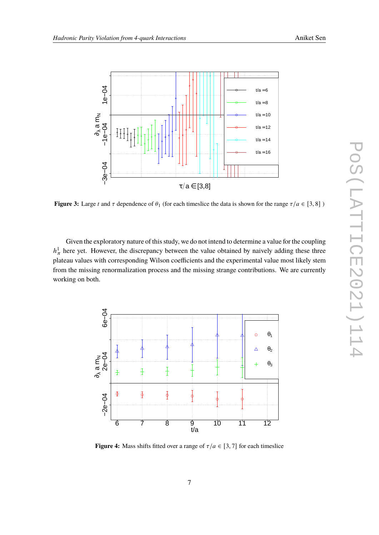<span id="page-6-0"></span>

**Figure 3:** Large t and  $\tau$  dependence of  $\theta_1$  (for each timeslice the data is shown for the range  $\tau/a \in [3, 8]$ )

Given the exploratory nature of this study, we do not intend to determine a value for the coupling  $h_{\pi}^{1}$  here yet. However, the discrepancy between the value obtained by naively adding these three plateau values with corresponding Wilson coefficients and the experimental value most likely stem from the missing renormalization process and the missing strange contributions. We are currently working on both.

<span id="page-6-1"></span>

**Figure 4:** Mass shifts fitted over a range of  $\tau/a \in [3, 7]$  for each timeslice